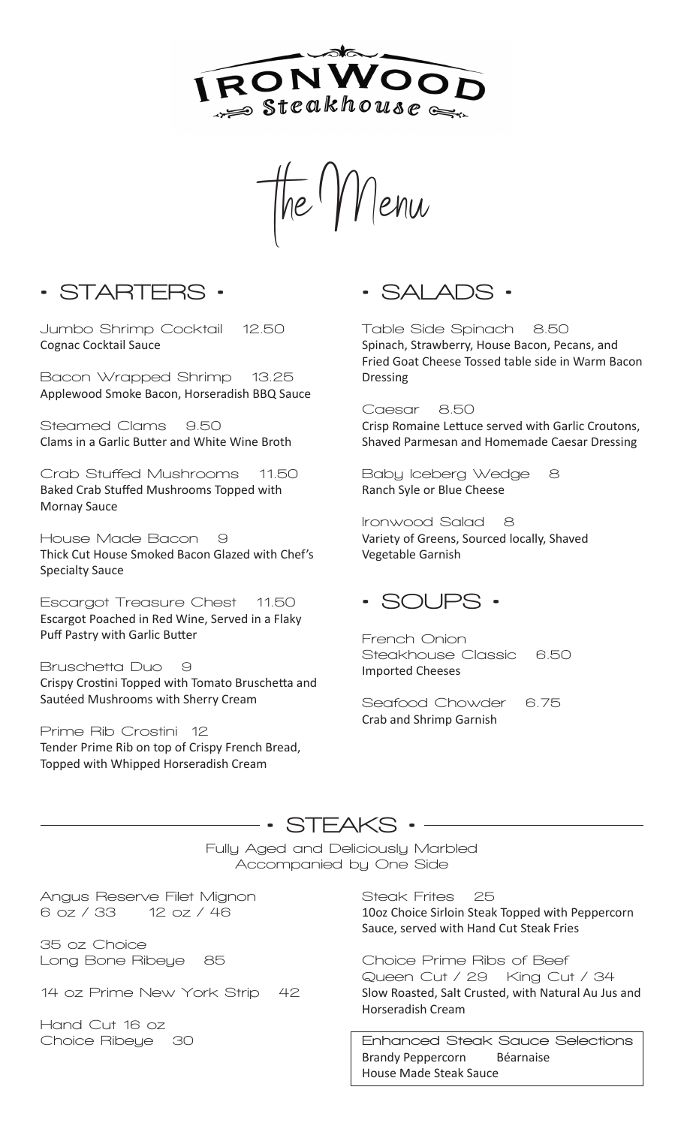

The  $1$   $V$  lenu

**• STARTERS •**

**Jumbo Shrimp Cocktail 12.50** Cognac Cocktail Sauce

**Bacon Wrapped Shrimp 13.25** Applewood Smoke Bacon, Horseradish BBQ Sauce

**Steamed Clams 9.50** Clams in a Garlic Butter and White Wine Broth

**Crab Stuffed Mushrooms 11.50** Baked Crab Stuffed Mushrooms Topped with Mornay Sauce

**House Made Bacon 9** Thick Cut House Smoked Bacon Glazed with Chef's Specialty Sauce

**Escargot Treasure Chest 11.50** Escargot Poached in Red Wine, Served in a Flaky Puff Pastry with Garlic Butter

**Bruschetta Duo 9** Crispy Crostini Topped with Tomato Bruschetta and Sautéed Mushrooms with Sherry Cream

**Prime Rib Crostini 12** Tender Prime Rib on top of Crispy French Bread, Topped with Whipped Horseradish Cream

**• SALADS •**

**Table Side Spinach 8.50** Spinach, Strawberry, House Bacon, Pecans, and Fried Goat Cheese Tossed table side in Warm Bacon Dressing

**Caesar 8.50** Crisp Romaine Lettuce served with Garlic Croutons, Shaved Parmesan and Homemade Caesar Dressing

**Baby Iceberg Wedge 8** Ranch Syle or Blue Cheese

**Ironwood Salad 8** Variety of Greens, Sourced locally, Shaved Vegetable Garnish

### **• SOUPS •**

**French Onion Steakhouse Classic 6.50** Imported Cheeses

**Seafood Chowder 6.75** Crab and Shrimp Garnish

### **• STEAKS •**

**Fully Aged and Deliciously Marbled Accompanied by One Side**

**Angus Reserve Filet Mignon 6 oz / 33 12 oz / 46**

**35 oz Choice Long Bone Ribeye 85**

**14 oz Prime New York Strip 42**

**Hand Cut 16 oz Choice Ribeye 30** **Steak Frites 25** 10oz Choice Sirloin Steak Topped with Peppercorn Sauce, served with Hand Cut Steak Fries

**Choice Prime Ribs of Beef Queen Cut / 29 King Cut / 34** Slow Roasted, Salt Crusted, with Natural Au Jus and Horseradish Cream

**Enhanced Steak Sauce Selections** Brandy Peppercorn Béarnaise House Made Steak Sauce